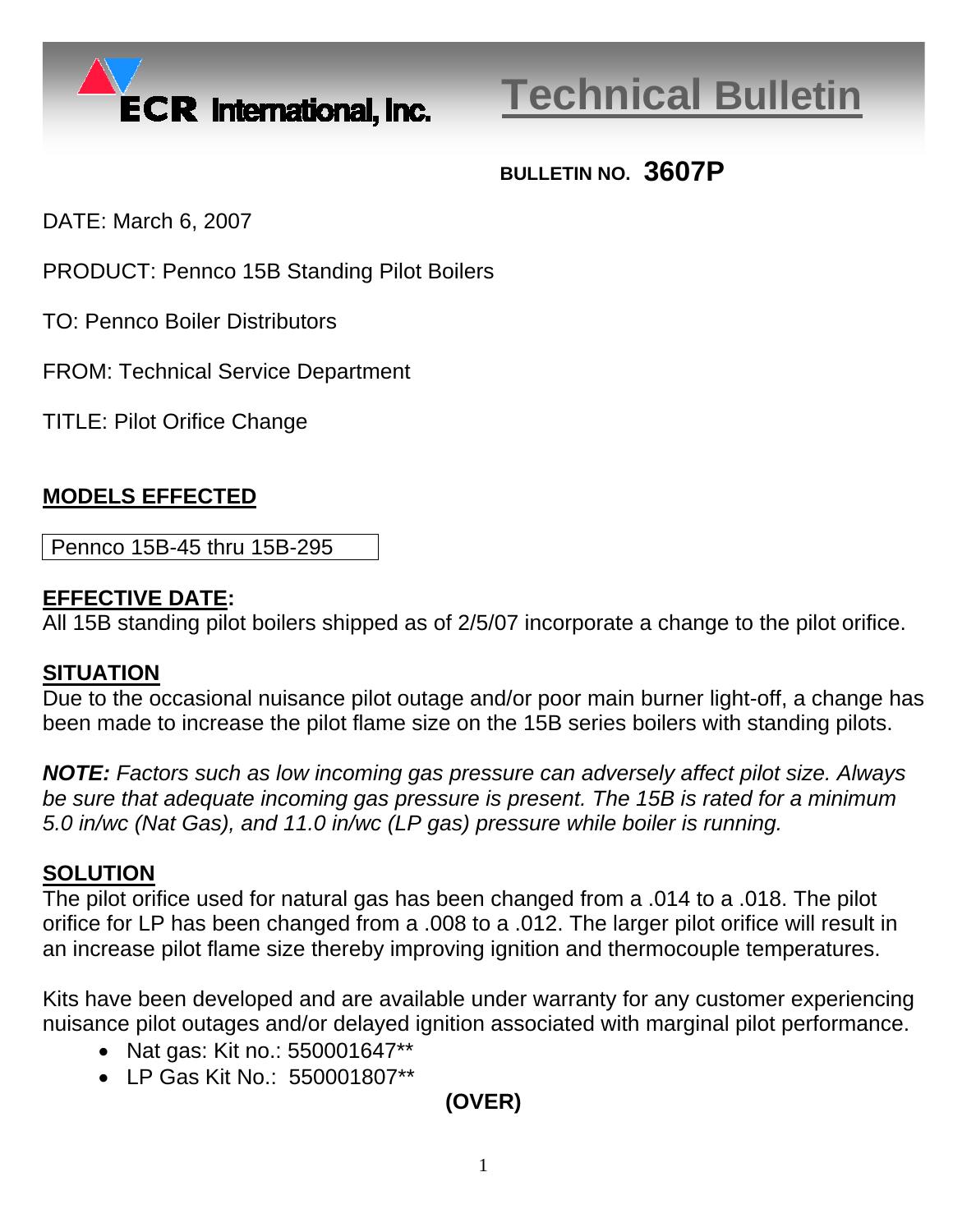

# **Technical Bulletin**

## **BULLETIN NO. 3607P**

DATE: March 6, 2007

PRODUCT: Pennco 15B Standing Pilot Boilers

TO: Pennco Boiler Distributors

FROM: Technical Service Department

TITLE: Pilot Orifice Change

#### **MODELS EFFECTED**

Pennco 15B-45 thru 15B-295

#### **EFFECTIVE DATE:**

All 15B standing pilot boilers shipped as of 2/5/07 incorporate a change to the pilot orifice.

#### **SITUATION**

Due to the occasional nuisance pilot outage and/or poor main burner light-off, a change has been made to increase the pilot flame size on the 15B series boilers with standing pilots.

*NOTE: Factors such as low incoming gas pressure can adversely affect pilot size. Always be sure that adequate incoming gas pressure is present. The 15B is rated for a minimum 5.0 in/wc (Nat Gas), and 11.0 in/wc (LP gas) pressure while boiler is running.* 

#### **SOLUTION**

The pilot orifice used for natural gas has been changed from a .014 to a .018. The pilot orifice for LP has been changed from a .008 to a .012. The larger pilot orifice will result in an increase pilot flame size thereby improving ignition and thermocouple temperatures.

Kits have been developed and are available under warranty for any customer experiencing nuisance pilot outages and/or delayed ignition associated with marginal pilot performance.

- Nat gas: Kit no.: 550001647\*\*
- LP Gas Kit No.: 550001807\*\*

### **(OVER)**